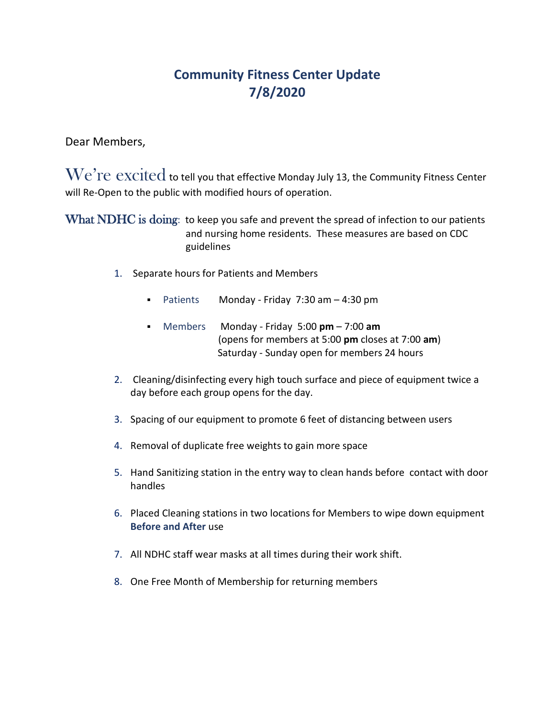## **Community Fitness Center Update 7/8/2020**

Dear Members,

 $\rm{We're}\ excited$  to tell you that effective Monday July 13, the Community Fitness Center will Re-Open to the public with modified hours of operation.

What NDHC is doing: to keep you safe and prevent the spread of infection to our patients and nursing home residents. These measures are based on CDC guidelines

- 1. Separate hours for Patients and Members
	- Patients Monday Friday 7:30 am 4:30 pm
	- Members Monday Friday 5:00 **pm** 7:00 **am**  (opens for members at 5:00 **pm** closes at 7:00 **am**) Saturday - Sunday open for members 24 hours
- 2. Cleaning/disinfecting every high touch surface and piece of equipment twice a day before each group opens for the day.
- 3. Spacing of our equipment to promote 6 feet of distancing between users
- 4. Removal of duplicate free weights to gain more space
- 5. Hand Sanitizing station in the entry way to clean hands before contact with door handles
- 6. Placed Cleaning stations in two locations for Members to wipe down equipment **Before and After** use
- 7. All NDHC staff wear masks at all times during their work shift.
- 8. One Free Month of Membership for returning members